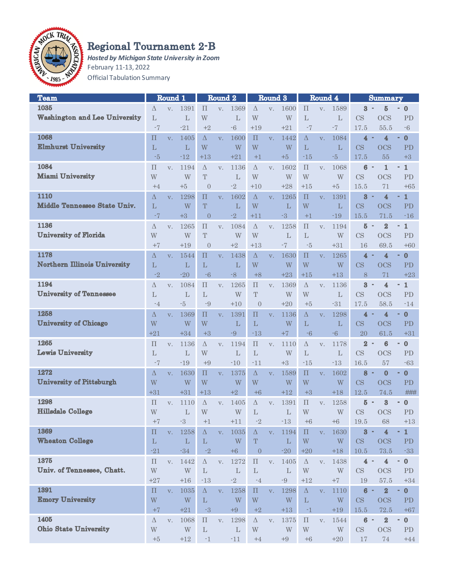

## Regional Tournament 2-B

*Hosted by Michigan State University in Zoom* February 11-13, 2022 Official Tabulation Summary

| <b>Team</b>                          | Round 1                 |    | Round <sub>2</sub>      |                    | Round 3        |                   | <b>Round 4</b>          |                | <b>Summary</b>          |                    |                |                         |                            |                           |                    |
|--------------------------------------|-------------------------|----|-------------------------|--------------------|----------------|-------------------|-------------------------|----------------|-------------------------|--------------------|----------------|-------------------------|----------------------------|---------------------------|--------------------|
| 1035                                 | $\Delta$                | V. | 1391                    | $\Pi$              | V.             | 1369              | Δ                       | V.             | 1600                    | $\Pi$              | V.             | 1589                    | $\bf{3}$                   | 5                         | $\bf{0}$           |
| <b>Washington and Lee University</b> | L                       |    | L                       | W                  |                | L                 | W                       |                | W                       | L                  |                | $\mathbf{L}$            | CS                         | <b>OCS</b>                | PD                 |
|                                      | $-7$                    |    | $-21$                   | $+2$               |                | $-6$              | $+19$                   |                | $+21$                   | $-7$               |                | $-7$                    | 17.5                       | 55.5                      | $-6$               |
| 1068                                 | $\Pi$                   | V. | 1405                    | Δ                  | V.             | 1600              | П                       | V.             | 1442                    | Δ                  | V.             | 1084                    | 4                          | 4                         | $\bf{0}$           |
| <b>Elmhurst University</b>           | L                       |    | L                       | W                  |                | W                 | W                       |                | W                       | L                  |                | L                       | <b>CS</b>                  | <b>OCS</b>                | PD                 |
|                                      |                         |    |                         |                    |                |                   |                         |                |                         |                    |                |                         |                            |                           |                    |
|                                      | -5                      |    | $-12$                   | $+13$              |                | $+21$             | $+1$                    |                | $+5$                    | -15                |                | $-5$                    | 17.5                       | 55                        | $+3$               |
| 1084                                 | П                       | V. | 1194                    | $\Delta$           | V.             | 1136              | $\Delta$                | V.             | 1602                    | $\prod$            | V.             | 1068                    | $6\phantom{1}$             | $\mathbf{1}$<br>$\sim$    | $\mathbf 1$<br>٠   |
| <b>Miami University</b>              | W                       |    | W                       | T                  |                | L                 | W                       |                | W                       | W                  |                | W                       | CS                         | <b>OCS</b>                | PD                 |
|                                      | $+4$                    |    | $+5$                    | $\overline{0}$     |                | $-2$              | $+10$                   |                | $+28$                   | $+15$              |                | $+5$                    | 15.5                       | 71                        | $+65$              |
| 1110                                 | Δ                       | V. | 1298                    | $\Pi$              | V.             | 1602              | Δ                       | V.             | 1265                    | $\Pi$              | V <sub>1</sub> | 1391                    | $\bf{3}$                   | 4                         | $\mathbf{1}$       |
| Middle Tennessee State Univ.         | L                       |    | W                       | T                  |                | L                 | W                       |                | L                       | W                  |                | $\mathbf{L}$            | <b>CS</b>                  | <b>OCS</b>                | PD                 |
|                                      | $-7$                    |    | $+3$                    | $\overline{0}$     |                | $-2$              | $+11$                   |                | $-3$                    | $+1$               |                | $-19$                   | 15.5                       | 71.5                      | $-16$              |
| 1136                                 | Δ                       | V. | 1265                    | П                  | V.             | 1084              | Δ                       | V.             | 1258                    | $\prod$            | V.             | 1194                    | 5 -                        | $\overline{2}$            | $\mathbf{1}$<br>٠  |
| <b>University of Florida</b>         | W                       |    | W                       | $\mathbf T$        |                | W                 | W                       |                | $\mathbf{L}$            | L                  |                | W                       | CS                         | OCS                       | PD                 |
|                                      | $+7$                    |    | $+19$                   | $\overline{0}$     |                | $+2$              | $+13$                   |                | $-7$                    | $-5$               |                | $+31$                   | 16                         | 69.5                      | $+60$              |
| 1178                                 | $\Delta$                | V. | 1544                    | $\Pi$              | V.             | 1438              | $\Delta$                | V.             | 1630                    | $\Pi$              | V.             | 1265                    | 4                          | 4                         | $\bf{0}$<br>٠      |
| <b>Northern Illinois University</b>  | L                       |    | L                       | L                  |                | $\mathbf{L}$      | W                       |                | W                       | W                  |                | W                       | CS                         | <b>OCS</b>                | PD                 |
|                                      | $-2$                    |    | $-20$                   | $-6$               |                | $-8$              | $+8$                    |                | $+23$                   | $+15$              |                | $+13$                   | 8                          | 71                        | $+23$              |
| 1194                                 |                         |    |                         | $\Pi$              |                |                   | $\Pi$                   |                |                         |                    |                |                         | 3                          | 4                         | $\mathbf{1}$       |
| <b>University of Tennessee</b>       | Δ                       | V. | 1084                    |                    | V.             | 1265              | T                       | V.             | 1369                    | $\Delta$<br>W      | V.             | 1136                    |                            |                           |                    |
|                                      | L                       |    | L                       | L                  |                | W                 |                         |                | W                       |                    |                | $\mathbf{L}$            | CS                         | <b>OCS</b>                | PD                 |
|                                      | $-4$                    |    | -5                      | $-9$               |                | $+10$             | $\theta$                |                | $+20$                   | $+5$               |                | $-31$                   | 17.5                       | 58.5                      | $-14$              |
| 1258                                 | Δ                       | V. | 1369                    | П                  | V.             | 1391              | $\Pi$                   | V.             | 1136                    | Δ                  | V.             | 1298                    | 4                          | $\overline{\mathbf{4}}$   | $\bf{0}$<br>٠      |
| <b>University of Chicago</b>         | W                       |    | W                       | W                  |                | L                 | L                       |                | W                       | L                  |                | $\mathbf{L}$            | CS                         | <b>OCS</b>                | PD                 |
|                                      | $+21$                   |    | $+34$                   | $+3$               |                | $-9$              | $-13$                   |                | $+7$                    | $-6$               |                | $-6$                    | 20                         | 61.5                      | $+31$              |
| 1265                                 | П                       | V. | 1136                    | $\Delta$           | V.             | 1194              | $\Pi$                   | V.             | 1110                    | $\Delta$           | V.             | 1178                    | $\mathbf{2}$               | $6\phantom{1}6$<br>$\sim$ | $\bf{0}$<br>٠      |
| Lewis University                     | L                       |    | L                       | W                  |                | L                 | L                       |                | W                       | L                  |                | $\mathbf{L}$            | CS                         | <b>OCS</b>                | PD                 |
|                                      | $-7$                    |    | $-19$                   | $+9$               |                | $-10$             | $-11$                   |                | $+3$                    | $-15$              |                | $-13$                   | 16.5                       | 57                        | $-63$              |
| 1272                                 | Δ                       | V. | 1630                    | $\Pi$              | V.             | 1375              | Δ                       | V.             | 1589                    | $\Pi$              | V.             | 1602                    | 8                          | $\bf{0}$                  | $\bf{0}$           |
| <b>University of Pittsburgh</b>      | W                       |    | W                       | W                  |                | W                 | W                       |                | W                       | W                  |                | W                       | CS                         | <b>OCS</b>                | <b>PD</b>          |
|                                      | $+31$                   |    | $+31$                   | $+13$              |                | $+2$              | $+6$                    |                | $+12$                   | $+3$               |                | $+18$                   | 12.5                       | 74.5                      | ###                |
| 1298                                 | П                       | V. | 1110                    | Δ                  | V.             | 1405              | Δ                       | V.             | 1391                    | $\prod$            | V.             | 1258                    | $5 -$                      | 3                         | $\pmb{0}$<br>٠     |
| <b>Hillsdale College</b>             | W                       |    | L                       | W                  |                | W                 | L                       |                | L                       | W                  |                | W                       | <b>CS</b>                  | OCS                       | PD                 |
|                                      | $+7$                    |    | -3                      | $+1$               |                | $+11$             | -2                      |                | $-13$                   | $+6$               |                | $+6$                    | 19.5                       | 68                        | $+13$              |
| 1369                                 | $\Pi$                   |    | 1258                    | $\Delta$           | V <sub>1</sub> | 1035              | $\Delta$                | V <sub>1</sub> | 1194                    | $\prod$            | V <sub>1</sub> | 1630                    | $3 -$                      | 4                         | $\mathbf{1}$<br>×. |
| <b>Wheaton College</b>               |                         | V. |                         |                    |                | W                 |                         |                |                         | W                  |                |                         |                            |                           |                    |
|                                      | L                       |    | $\mathbf{L}$            | $\mathbf L$        |                |                   | $\mathbf T$             |                | $\mathbf L$             |                    |                | $\ensuremath{\text{W}}$ | CS                         | <b>OCS</b>                | ${\rm PD}$         |
|                                      | $-21$                   |    | $\mbox{-}34$            | $-2$               |                | $+6$              | $\overline{0}$          |                | $-20$                   | $+20$              |                | $+18$                   | $10.5\,$                   | $73.5\,$                  | $\mbox{-}33$       |
| 1375                                 | $\prod$                 | V. | 1442                    | $\Delta$           | V.             | 1272              | $\boldsymbol{\Pi}$      | V.             | 1405                    | $\Delta$           | V.             | 1438                    | $4 -$                      | 4                         | $\pmb{0}$<br>٠     |
| Univ. of Tennessee, Chatt.           | W                       |    | $\ensuremath{\text{W}}$ | L                  |                | $\mathbf{L}$      | $\mathbf L$             |                | $\mathbf L$             | W                  |                | $\ensuremath{\text{W}}$ | $\mathop{\rm CS}\nolimits$ | <b>OCS</b>                | PD                 |
|                                      | $+27$                   |    | $+16$                   | $-13$              |                | $\textnormal{-}2$ | $-4$                    |                | $-9$                    | $+12$              |                | $\rm +7$                | 19                         | $57.5\,$                  | $+34$              |
| 1391                                 | $\boldsymbol{\Pi}$      | V. | 1035                    | $\Delta$           | V.             | 1258              | $\boldsymbol{\Pi}$      | V <sub>1</sub> | 1298                    | $\Delta$           | V.             | 1110                    | $6 -$                      | $\overline{\mathbf{2}}$   | $\bf{0}$<br>٠      |
| <b>Emory University</b>              | W                       |    | $\ensuremath{\text{W}}$ | $\mathbf{L}$       |                | W                 | W                       |                | W                       | L                  |                | W                       | $\mathbf{CS}\,$            | <b>OCS</b>                | ${\rm PD}$         |
|                                      | $+7$                    |    | $+21$                   | $^{\circ}3$        |                | $+9$              | $+2$                    |                | $+13$                   | $-1$               |                | $+19$                   | 15.5                       | $72.5\,$                  | $+67$              |
| 1405                                 | $\Delta$                | V. | 1068                    | $\boldsymbol{\Pi}$ | V <sub>1</sub> | 1298              | $\Delta$                | $\mathbf{V}$ . | 1375                    | $\boldsymbol{\Pi}$ | V.             | 1544                    | $6 -$                      | $\overline{\mathbf{2}}$   | $\pmb{0}$<br>٠     |
| <b>Ohio State University</b>         | $\ensuremath{\text{W}}$ |    | $\ensuremath{\text{W}}$ | $\mathbf L$        |                | $\mathbf L$       | $\ensuremath{\text{W}}$ |                | $\ensuremath{\text{W}}$ | W                  |                | $\ensuremath{\text{W}}$ | $\mathop{\rm CS}\nolimits$ | <b>OCS</b>                | ${\rm PD}$         |
|                                      | $+5$                    |    | $\pm 12$                | $-1$               |                | $-11$             | $+4$                    |                | $+9$                    | $+6$               |                | $+20$                   | 17                         | $74\,$                    | $+44$              |
|                                      |                         |    |                         |                    |                |                   |                         |                |                         |                    |                |                         |                            |                           |                    |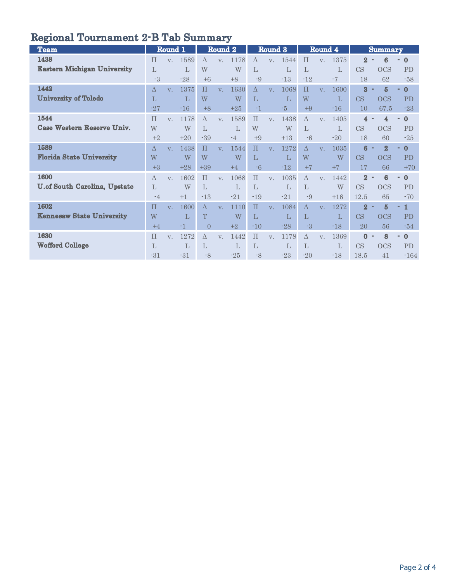| - - - - - - - - -<br>$\sim$<br>$\sim$       |                        |             |                               |                                  |                    |                               |                       |                |                               |                                   |                |                               |                                            |                                     |                                         |
|---------------------------------------------|------------------------|-------------|-------------------------------|----------------------------------|--------------------|-------------------------------|-----------------------|----------------|-------------------------------|-----------------------------------|----------------|-------------------------------|--------------------------------------------|-------------------------------------|-----------------------------------------|
| <b>Team</b>                                 |                        | Round 1     |                               |                                  | Round <sub>2</sub> |                               |                       | Round 3        |                               |                                   | Round 4        |                               |                                            | <b>Summary</b>                      |                                         |
| 1438<br><b>Eastern Michigan University</b>  | $\Pi$<br>L<br>$-3$     | $V_{\perp}$ | 1589<br>$\mathbf{L}$<br>$-28$ | $\wedge$<br>W<br>$+6$            | $V$ .              | 1178<br>W<br>$+8$             | $\wedge$<br>L<br>$-9$ | V <sub>1</sub> | 1544<br>L<br>$-13$            | $\Pi$<br>L<br>$-12$               | $V_{\cdot}$    | 1375<br>L<br>$-7$             | $\bf{2}$<br>CS<br>18                       | 6<br><b>OCS</b><br>62               | $\bf{0}$<br>٠<br>PD<br>$-58$            |
| 1442<br><b>University of Toledo</b>         | $\Delta$<br>L<br>$-27$ | $V_{\cdot}$ | 1375<br>L<br>$-16$            | $\Pi$<br>W<br>$+8$               | $V_{\cdot}$        | 1630<br>W<br>$+25$            | $\Delta$<br>L<br>$-1$ | V <sub>1</sub> | 1068<br>L<br>$-5$             | $\Pi$<br>W<br>$+9$                | V <sub>1</sub> | 1600<br>L<br>$-16$            | $\overline{\mathbf{3}}$<br>CS<br>10        | 5<br><b>OCS</b><br>67.5             | $\bf{0}$<br>٠<br>PD<br>$-23$            |
| 1544<br>Case Western Reserve Univ.          | $\Pi$<br>W<br>$+2$     | $V_{\cdot}$ | 1178<br>W<br>$+20$            | $\Lambda$<br>L<br>$-39$          | $V_{\cdot}$        | 1589<br>L<br>$-4$             | $\Pi$<br>W<br>$+9$    | V <sub>1</sub> | 1438<br>W<br>$+13$            | $\Delta$<br>L<br>$-6$             | V.             | 1405<br>L<br>$-20$            | $\overline{\mathbf{4}}$<br><b>CS</b><br>18 | 4<br><b>OCS</b><br>60               | $\bf{0}$<br>×.<br>PD<br>$-25$           |
| 1589<br><b>Florida State University</b>     | $\Lambda$<br>W<br>$+3$ | $V_{\perp}$ | 1438<br>W<br>$+28$            | $\Pi$<br>W<br>$+39$              | $V_{\perp}$        | 1544<br>W<br>$+4$             | $\Pi$<br>L<br>$-6$    | $V_{-}$        | 1272<br>L<br>$-12$            | $\Lambda$<br>W<br>$+7$            | V.             | 1035<br>W<br>$+7$             | 6<br>CS<br>17                              | $\overline{2}$<br><b>OCS</b><br>66  | $\mathbf{0}$<br>PD<br>$+70$             |
| 1600<br><b>U.of South Carolina, Upstate</b> | $\Lambda$<br>L<br>$-4$ | V.          | 1602<br>W<br>$+1$             | $\Pi$<br>$\mathbf{L}$<br>$-13$   | $V_{\cdot}$        | 1068<br>$\mathbf{L}$<br>$-21$ | $\Pi$<br>L<br>$-19$   | V.             | 1035<br>$\mathbf{L}$<br>$-21$ | $\Delta$<br>$\mathbf{L}$<br>$-9$  | V.             | 1442<br>W<br>$+16$            | $\overline{2}$<br><b>CS</b><br>12.5        | $6\phantom{1}6$<br><b>OCS</b><br>65 | $\mathbf{0}$<br>٠<br><b>PD</b><br>$-70$ |
| 1602<br><b>Kennesaw State University</b>    | $\Pi$<br>W<br>$+4$     | $V_{-}$     | 1600<br>$\mathbf{L}$<br>$-1$  | $\Delta$<br>T<br>$\overline{0}$  | V <sub>1</sub>     | 1110<br>W<br>$+2$             | $\prod$<br>L<br>$-10$ | V <sub>1</sub> | 1084<br>$\mathbf{L}$<br>$-28$ | $\Delta$<br>L<br>$-3$             | V.             | 1272<br>L<br>$-18$            | $\overline{2}$<br>CS<br>20                 | 5<br><b>OCS</b><br>56               | $\mathbf{1}$<br>×.<br>PD<br>$-54$       |
| 1630<br><b>Wofford College</b>              | $\Pi$<br>L<br>$-31$    | V.          | 1272<br>$\mathbf{L}$<br>$-31$ | $\Delta$<br>$\mathbf{L}$<br>$-8$ | V.                 | 1442<br>$\mathbf{L}$<br>$-25$ | $\prod$<br>L<br>$-8$  | V.             | 1178<br>$\mathbf{L}$<br>$-23$ | $\Delta$<br>$\mathbf{L}$<br>$-20$ | V.             | 1369<br>$\mathbf{L}$<br>$-18$ | $\bf{0}$<br>CS<br>18.5                     | 8<br><b>OCS</b><br>41               | $\mathbf{0}$<br>÷.<br>PD<br>$-164$      |

# Regional Tournament 2-B Tab Summary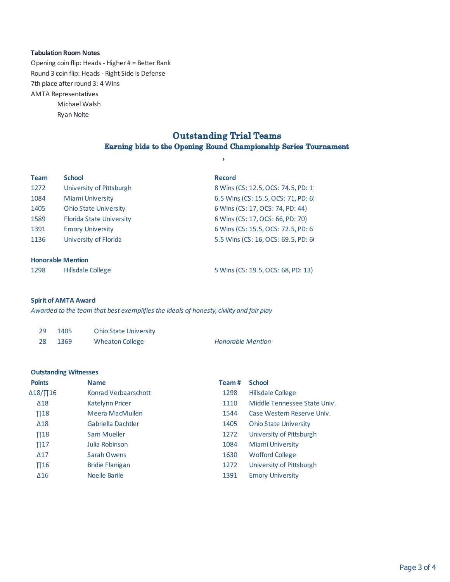#### **Tabulation Room Notes**

7th place after round 3: 4 Wins AMTA Representatives Michael Walsh Ryan Nolte Opening coin flip: Heads - Higher # = Better Rank Round 3 coin flip: Heads - Right Side is Defense

### Outstanding Trial Teams Earning bids to the Opening Round Championship Series Tournament

,

| <b>Team</b> | <b>School</b>                   | <b>Record</b>                        |  |  |  |  |
|-------------|---------------------------------|--------------------------------------|--|--|--|--|
| 1272        | University of Pittsburgh        | 8 Wins (CS: 12.5, OCS: 74.5, PD: 1)  |  |  |  |  |
| 1084        | Miami University                | 6.5 Wins (CS: 15.5, OCS: 71, PD: 6!) |  |  |  |  |
| 1405        | <b>Ohio State University</b>    | 6 Wins (CS: 17, OCS: 74, PD: 44)     |  |  |  |  |
| 1589        | <b>Florida State University</b> | 6 Wins (CS: 17, OCS: 66, PD: 70)     |  |  |  |  |
| 1391        | <b>Emory University</b>         | 6 Wins (CS: 15.5, OCS: 72.5, PD: 6)  |  |  |  |  |
| 1136        | University of Florida           | 5.5 Wins (CS: 16, OCS: 69.5, PD: 6   |  |  |  |  |
|             |                                 |                                      |  |  |  |  |
|             | <b>The complete Manufacture</b> |                                      |  |  |  |  |

#### **Honorable Mention**

| 1298 | Hillsdale College | 5 Wins (CS: 19.5, OCS: 68, PD: 13) |
|------|-------------------|------------------------------------|
|------|-------------------|------------------------------------|

#### **Spirit of AMTA Award**

*Awarded to the team that best exemplifies the ideals of honesty, civility and fair play*

| -29 | 1405 | <b>Ohio State University</b> |                          |
|-----|------|------------------------------|--------------------------|
| -28 | 1369 | Wheaton College              | <b>Honorable Mention</b> |

#### **Outstanding Witnesses**

| <b>Points</b>   | <b>Name</b>            | Team# | <b>School</b>                |
|-----------------|------------------------|-------|------------------------------|
| $\Delta$ 18/∏16 | Konrad Verbaarschott   | 1298  | <b>Hillsdale College</b>     |
| $\Delta$ 18     | Katelynn Pricer        | 1110  | Middle Tennessee State Univ. |
| $\Pi$ 18        | Meera MacMullen        | 1544  | Case Western Reserve Univ.   |
| $\Delta$ 18     | Gabriella Dachtler     | 1405  | <b>Ohio State University</b> |
| $\Pi$ 18        | Sam Mueller            | 1272  | University of Pittsburgh     |
| $\Pi$ 17        | Julia Robinson         | 1084  | Miami University             |
| $\Delta$ 17     | Sarah Owens            | 1630  | <b>Wofford College</b>       |
| $\Pi$ 16        | <b>Bridie Flanigan</b> | 1272  | University of Pittsburgh     |
| $\Delta 16$     | Noelle Barile          | 1391  | <b>Emory University</b>      |
|                 |                        |       |                              |